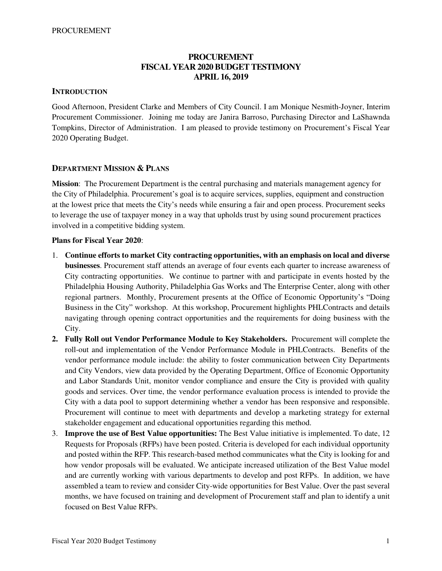## **PROCUREMENT FISCAL YEAR 2020 BUDGET TESTIMONY APRIL 16, 2019**

### **INTRODUCTION**

Good Afternoon, President Clarke and Members of City Council. I am Monique Nesmith-Joyner, Interim Procurement Commissioner. Joining me today are Janira Barroso, Purchasing Director and LaShawnda Tompkins, Director of Administration. I am pleased to provide testimony on Procurement's Fiscal Year 2020 Operating Budget.

### **DEPARTMENT MISSION & PLANS**

**Mission**: The Procurement Department is the central purchasing and materials management agency for the City of Philadelphia. Procurement's goal is to acquire services, supplies, equipment and construction at the lowest price that meets the City's needs while ensuring a fair and open process. Procurement seeks to leverage the use of taxpayer money in a way that upholds trust by using sound procurement practices involved in a competitive bidding system.

### **Plans for Fiscal Year 2020**:

- 1. **Continue efforts to market City contracting opportunities, with an emphasis on local and diverse businesses**. Procurement staff attends an average of four events each quarter to increase awareness of City contracting opportunities. We continue to partner with and participate in events hosted by the Philadelphia Housing Authority, Philadelphia Gas Works and The Enterprise Center, along with other regional partners. Monthly, Procurement presents at the Office of Economic Opportunity's "Doing Business in the City" workshop. At this workshop, Procurement highlights PHLContracts and details navigating through opening contract opportunities and the requirements for doing business with the City.
- **2. Fully Roll out Vendor Performance Module to Key Stakeholders.** Procurement will complete the roll-out and implementation of the Vendor Performance Module in PHLContracts. Benefits of the vendor performance module include: the ability to foster communication between City Departments and City Vendors, view data provided by the Operating Department, Office of Economic Opportunity and Labor Standards Unit, monitor vendor compliance and ensure the City is provided with quality goods and services. Over time, the vendor performance evaluation process is intended to provide the City with a data pool to support determining whether a vendor has been responsive and responsible. Procurement will continue to meet with departments and develop a marketing strategy for external stakeholder engagement and educational opportunities regarding this method.
- 3. **Improve the use of Best Value opportunities:** The Best Value initiative is implemented. To date, 12 Requests for Proposals (RFPs) have been posted. Criteria is developed for each individual opportunity and posted within the RFP. This research-based method communicates what the City is looking for and how vendor proposals will be evaluated. We anticipate increased utilization of the Best Value model and are currently working with various departments to develop and post RFPs. In addition, we have assembled a team to review and consider City-wide opportunities for Best Value. Over the past several months, we have focused on training and development of Procurement staff and plan to identify a unit focused on Best Value RFPs.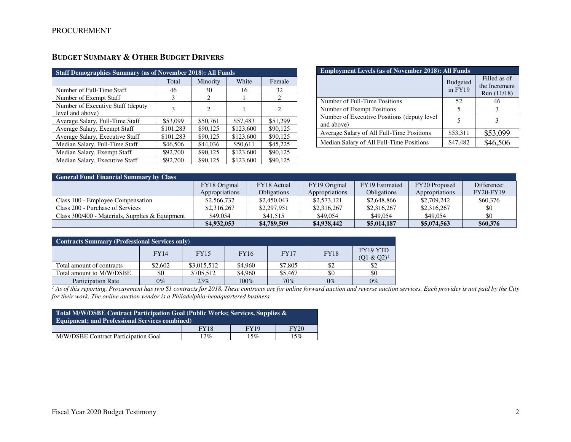| <b>Staff Demographics Summary (as of November 2018): All Funds</b> |           |          |           |          |  |  |
|--------------------------------------------------------------------|-----------|----------|-----------|----------|--|--|
|                                                                    | Total     | Minority | White     | Female   |  |  |
| Number of Full-Time Staff                                          | 46        | 30       | 16        | 32       |  |  |
| Number of Exempt Staff                                             | 3         | 2        |           | 2        |  |  |
| Number of Executive Staff (deputy)<br>level and above)             | 3         | 2        |           | 2        |  |  |
| Average Salary, Full-Time Staff                                    | \$53,099  | \$50,761 | \$57,483  | \$51.299 |  |  |
| Average Salary, Exempt Staff                                       | \$101,283 | \$90,125 | \$123,600 | \$90,125 |  |  |
| Average Salary, Executive Staff                                    | \$101,283 | \$90,125 | \$123,600 | \$90,125 |  |  |
| Median Salary, Full-Time Staff                                     | \$46,506  | \$44,036 | \$50,611  | \$45,225 |  |  |
| Median Salary, Exempt Staff                                        | \$92,700  | \$90,125 | \$123,600 | \$90,125 |  |  |
| Median Salary, Executive Staff                                     | \$92,700  | \$90,125 | \$123,600 | \$90,125 |  |  |

## **BUDGET SUMMARY & OTHER BUDGET DRIVERS**

| <b>Employment Levels (as of November 2018): All Funds</b> |                            |                                              |  |  |  |
|-----------------------------------------------------------|----------------------------|----------------------------------------------|--|--|--|
|                                                           | <b>Budgeted</b><br>in FY19 | Filled as of<br>the Increment<br>Run (11/18) |  |  |  |
| Number of Full-Time Positions                             | 52                         | 46                                           |  |  |  |
| Number of Exempt Positions                                | 5                          | 3                                            |  |  |  |
| Number of Executive Positions (deputy level<br>and above) | 5                          |                                              |  |  |  |
| Average Salary of All Full-Time Positions                 | \$53,311                   | \$53,099                                     |  |  |  |
| Median Salary of All Full-Time Positions                  | \$47,482                   | \$46,506                                     |  |  |  |

| <b>General Fund Financial Summary by Class</b>    |                |                    |                |                    |                |                  |  |  |
|---------------------------------------------------|----------------|--------------------|----------------|--------------------|----------------|------------------|--|--|
|                                                   | FY18 Original  | FY18 Actual        | FY19 Original  | FY19 Estimated     | FY20 Proposed  | Difference:      |  |  |
|                                                   | Appropriations | <b>Obligations</b> | Appropriations | <b>Obligations</b> | Appropriations | <b>FY20-FY19</b> |  |  |
| Class 100 - Employee Compensation                 | \$2,566,732    | \$2,450,043        | \$2,573,121    | \$2,648,866        | \$2,709,242    | \$60,376         |  |  |
| Class 200 - Purchase of Services                  | \$2,316,267    | \$2,297,951        | \$2,316,267    | \$2,316,267        | \$2,316,267    | \$0              |  |  |
| Class $300/400$ - Materials, Supplies & Equipment | \$49,054       | \$41,515           | \$49,054       | \$49,054           | \$49,054       | \$0              |  |  |
|                                                   | \$4,932,053    | \$4,789,509        | \$4,938,442    | \$5,014,187        | \$5,074,563    | \$60,376         |  |  |

| <b>Contracts Summary (Professional Services only)</b> |         |             |             |             |             |                            |  |  |
|-------------------------------------------------------|---------|-------------|-------------|-------------|-------------|----------------------------|--|--|
|                                                       | FY14    | <b>FY15</b> | <b>FY16</b> | <b>FY17</b> | <b>FY18</b> | FY19 YTD<br>$(01 \& 02)^1$ |  |  |
| Total amount of contracts                             | \$2,602 | \$3,015,512 | \$4,960     | \$7,805     |             | \$2                        |  |  |
| Total amount to M/W/DSBE                              | \$0     | \$705.512   | \$4.960     | \$5,467     | \$0         | \$0                        |  |  |
| Participation Rate                                    | $0\%$   | 23%         | $100\%$     | 70%         | $0\%$       | $0\%$                      |  |  |

Participation Rate 0% 23% 100% 70% 0% 0% *1 As of this reporting, Procurement has two \$1 contracts for 2018. These contracts are for online forward auction and reverse auction services. Each provider is not paid by the City for their work. The online auction vendor is a Philadelphia-headquartered business.* 

| Total M/W/DSBE Contract Participation Goal (Public Works; Services, Supplies &<br><b>Equipment: and Professional Services combined)</b> |  |  |  |  |  |  |
|-----------------------------------------------------------------------------------------------------------------------------------------|--|--|--|--|--|--|
| <b>FY20</b><br><b>FY19</b><br><b>FY18</b>                                                                                               |  |  |  |  |  |  |
| $12\%$<br>15%<br>15%<br>M/W/DSBE Contract Participation Goal                                                                            |  |  |  |  |  |  |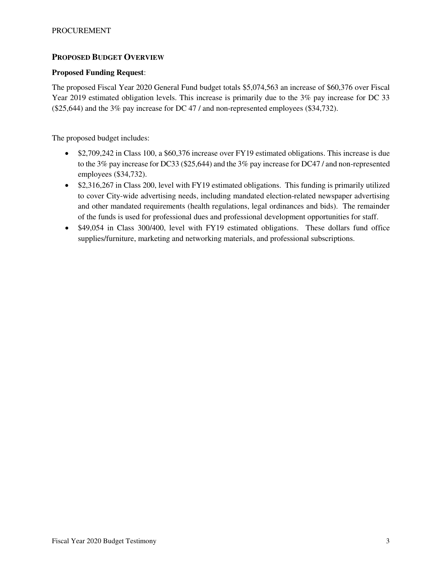### **PROPOSED BUDGET OVERVIEW**

### **Proposed Funding Request**:

The proposed Fiscal Year 2020 General Fund budget totals \$5,074,563 an increase of \$60,376 over Fiscal Year 2019 estimated obligation levels. This increase is primarily due to the 3% pay increase for DC 33 (\$25,644) and the 3% pay increase for DC 47 / and non-represented employees (\$34,732).

The proposed budget includes:

- \$2,709,242 in Class 100, a \$60,376 increase over FY19 estimated obligations. This increase is due to the 3% pay increase for DC33 (\$25,644) and the 3% pay increase for DC47 / and non-represented employees (\$34,732).
- \$2,316,267 in Class 200, level with FY19 estimated obligations. This funding is primarily utilized to cover City-wide advertising needs, including mandated election-related newspaper advertising and other mandated requirements (health regulations, legal ordinances and bids). The remainder of the funds is used for professional dues and professional development opportunities for staff.
- \$49,054 in Class 300/400, level with FY19 estimated obligations. These dollars fund office supplies/furniture, marketing and networking materials, and professional subscriptions.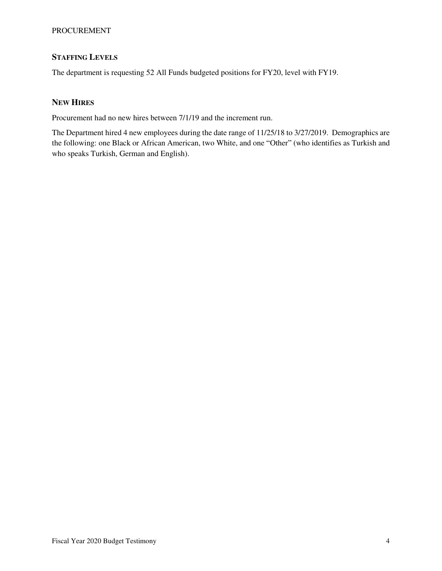### PROCUREMENT

## **STAFFING LEVELS**

The department is requesting 52 All Funds budgeted positions for FY20, level with FY19.

## **NEW HIRES**

Procurement had no new hires between 7/1/19 and the increment run.

The Department hired 4 new employees during the date range of 11/25/18 to 3/27/2019. Demographics are the following: one Black or African American, two White, and one "Other" (who identifies as Turkish and who speaks Turkish, German and English).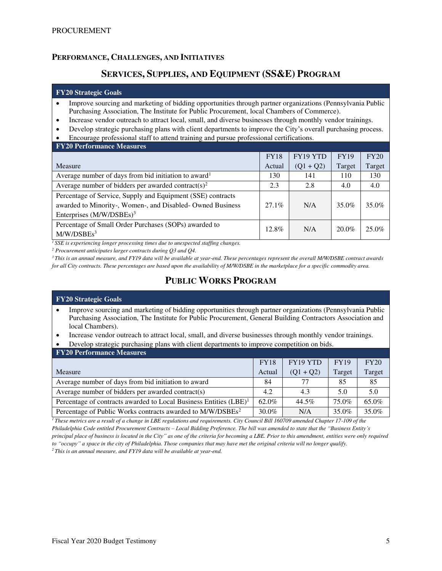### **PERFORMANCE, CHALLENGES, AND INITIATIVES**

## **SERVICES, SUPPLIES, AND EQUIPMENT (SS&E) PROGRAM**

#### **FY20 Strategic Goals**

- Improve sourcing and marketing of bidding opportunities through partner organizations (Pennsylvania Public Purchasing Association, The Institute for Public Procurement, local Chambers of Commerce).
- Increase vendor outreach to attract local, small, and diverse businesses through monthly vendor trainings.
- Develop strategic purchasing plans with client departments to improve the City's overall purchasing process.
- Encourage professional staff to attend training and pursue professional certifications.

| <b>FY20 Performance Measures</b>                                 |             |             |             |        |
|------------------------------------------------------------------|-------------|-------------|-------------|--------|
|                                                                  | <b>FY18</b> | FY19 YTD    | <b>FY19</b> | FY20   |
| Measure                                                          | Actual      | $(Q1 + Q2)$ | Target      | Target |
| Average number of days from bid initiation to award <sup>1</sup> | 130         | 141         | 110         | 130    |
| Average number of bidders per awarded contract(s) <sup>2</sup>   | 2.3         | 2.8         | 4.0         | 4.0    |
| Percentage of Service, Supply and Equipment (SSE) contracts      |             |             |             |        |
| awarded to Minority-, Women-, and Disabled-Owned Business        | $27.1\%$    | N/A         | 35.0%       | 35.0%  |
| Enterprises $(M/W/DSBEs)^3$                                      |             |             |             |        |
| Percentage of Small Order Purchases (SOPs) awarded to            | 12.8%       | N/A         | $20.0\%$    | 25.0%  |
| M/W/DSBEs <sup>3</sup>                                           |             |             |             |        |

*<sup>1</sup>SSE is experiencing longer processing times due to unexpected staffing changes.* 

*2 Procurement anticipates larger contracts during Q3 and Q4.* 

*<sup>3</sup>This is an annual measure, and FY19 data will be available at year-end. These percentages represent the overall M/W/DSBE contract awards for all City contracts. These percentages are based upon the availability of M/W/DSBE in the marketplace for a specific commodity area.*

## **PUBLIC WORKS PROGRAM**

## **FY20 Strategic Goals**  • Improve sourcing and marketing of bidding opportunities through partner organizations (Pennsylvania Public Purchasing Association, The Institute for Public Procurement, General Building Contractors Association and local Chambers).

• Increase vendor outreach to attract local, small, and diverse businesses through monthly vendor trainings.

• Develop strategic purchasing plans with client departments to improve competition on bids.

| <b>FY20 Performance Measures</b> |
|----------------------------------|
|----------------------------------|

| T TIM T GLIVINING TIONS AND THE                                               |             |             |             |        |
|-------------------------------------------------------------------------------|-------------|-------------|-------------|--------|
|                                                                               | <b>FY18</b> | FY19 YTD    | <b>FY19</b> | FY20   |
| Measure                                                                       | Actual      | $(Q1 + Q2)$ | Target      | Target |
| Average number of days from bid initiation to award                           | 84          | 77          | 85          | 85     |
| Average number of bidders per awarded contract(s)                             | 4.2         | 4.3         | 5.0         | 5.0    |
| Percentage of contracts awarded to Local Business Entities (LBE) <sup>1</sup> | 62.0%       | 44.5%       | 75.0%       | 65.0%  |
| Percentage of Public Works contracts awarded to M/W/DSBEs <sup>2</sup>        | $30.0\%$    | N/A         | 35.0%       | 35.0%  |

*<sup>1</sup>These metrics are a result of a change in LBE regulations and requirements. City Council Bill 160709 amended Chapter 17-109 of the Philadelphia Code entitled Procurement Contracts – Local Bidding Preference. The bill was amended to state that the "Business Entity's principal place of business is located in the City" as one of the criteria for becoming a LBE. Prior to this amendment, entities were only required to "occupy" a space in the city of Philadelphia. Those companies that may have met the original criteria will no longer qualify.* 

*2 This is an annual measure, and FY19 data will be available at year-end.*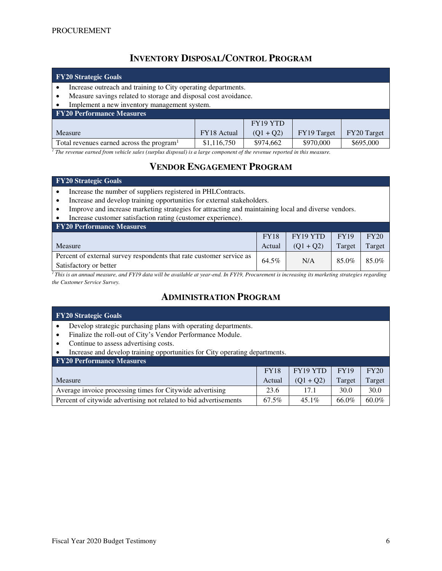# **INVENTORY DISPOSAL/CONTROL PROGRAM**

| <b>FY20 Strategic Goals</b>                                                                                                                                                                                                                                                              |             |           |           |           |  |  |
|------------------------------------------------------------------------------------------------------------------------------------------------------------------------------------------------------------------------------------------------------------------------------------------|-------------|-----------|-----------|-----------|--|--|
| Increase outreach and training to City operating departments.                                                                                                                                                                                                                            |             |           |           |           |  |  |
| Measure savings related to storage and disposal cost avoidance.                                                                                                                                                                                                                          |             |           |           |           |  |  |
| Implement a new inventory management system.                                                                                                                                                                                                                                             |             |           |           |           |  |  |
| <b>FY20 Performance Measures</b>                                                                                                                                                                                                                                                         |             |           |           |           |  |  |
|                                                                                                                                                                                                                                                                                          |             | FY19 YTD  |           |           |  |  |
| FY20 Target<br>FY19 Target<br>FY18 Actual<br>$(Q1 + Q2)$<br>Measure                                                                                                                                                                                                                      |             |           |           |           |  |  |
| Total revenues earned across the program <sup>1</sup>                                                                                                                                                                                                                                    | \$1,116,750 | \$974,662 | \$970,000 | \$695,000 |  |  |
| $\tau$ , the contract of $\tau$ , $\tau$ , $\tau$ , $\tau$ , $\tau$ , $\tau$ , $\tau$ , $\tau$ , $\tau$ , $\tau$ , $\tau$ , $\tau$ , $\tau$ , $\tau$ , $\tau$ , $\tau$ , $\tau$ , $\tau$ , $\tau$ , $\tau$ , $\tau$ , $\tau$ , $\tau$ , $\tau$ , $\tau$ , $\tau$ , $\tau$ , $\tau$ , $\$ |             |           |           |           |  |  |

*1 The revenue earned from vehicle sales (surplus disposal) is a large component of the revenue reported in this measure.* 

# **VENDOR ENGAGEMENT PROGRAM**

### **FY20 Strategic Goals**

- Increase the number of suppliers registered in PHLContracts.
- Increase and develop training opportunities for external stakeholders.
- Improve and increase marketing strategies for attracting and maintaining local and diverse vendors.
- Increase customer satisfaction rating (customer experience).

| <b>FY20 Performance Measures</b>                                     |             |                 |             |        |
|----------------------------------------------------------------------|-------------|-----------------|-------------|--------|
|                                                                      | <b>FY18</b> | $\mid$ FY19 YTD | <b>FY19</b> | FY20   |
| Measure                                                              | Actual      | $(01 + 02)$     | Target      | Target |
| Percent of external survey respondents that rate customer service as | 64.5%       | N/A             | 85.0%       | 85.0%  |
| Satisfactory or better                                               |             |                 |             |        |

*<sup>1</sup>This is an annual measure, and FY19 data will be available at year-end. In FY19, Procurement is increasing its marketing strategies regarding the Customer Service Survey.* 

# **ADMINISTRATION PROGRAM**

| <b>FY20 Strategic Goals</b>                                                 |             |          |             |          |  |  |
|-----------------------------------------------------------------------------|-------------|----------|-------------|----------|--|--|
| Develop strategic purchasing plans with operating departments.              |             |          |             |          |  |  |
| Finalize the roll-out of City's Vendor Performance Module.                  |             |          |             |          |  |  |
| Continue to assess advertising costs.                                       |             |          |             |          |  |  |
| Increase and develop training opportunities for City operating departments. |             |          |             |          |  |  |
| <b>FY20 Performance Measures</b>                                            |             |          |             |          |  |  |
|                                                                             | <b>FY18</b> | FY19 YTD | <b>FY19</b> | FY20     |  |  |
| Target<br>$(Q1 + Q2)$<br>Measure<br>Target<br>Actual                        |             |          |             |          |  |  |
| Average invoice processing times for Citywide advertising                   | 23.6        | 17.1     | 30.0        | 30.0     |  |  |
| Percent of citywide advertising not related to bid advertisements           | 67.5%       | $45.1\%$ | 66.0%       | $60.0\%$ |  |  |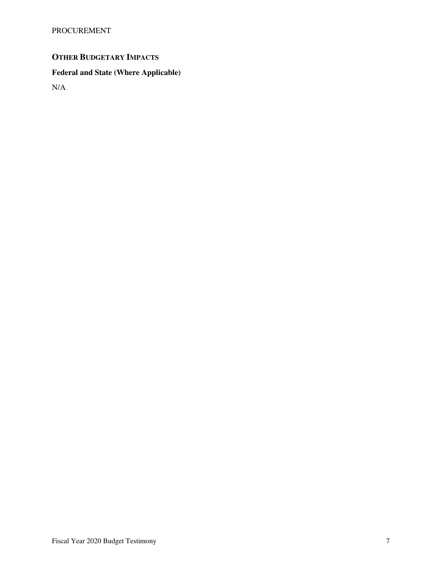PROCUREMENT

# **OTHER BUDGETARY IMPACTS**

# **Federal and State (Where Applicable)**

N/A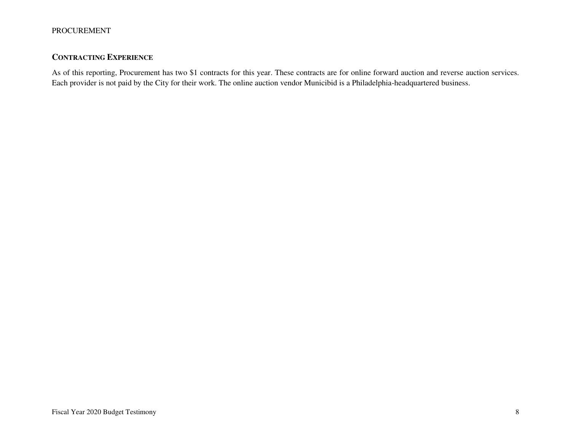## **CONTRACTING EXPERIENCE**

As of this reporting, Procurement has two \$1 contracts for this year. These contracts are for online forward auction and reverse auction services. Each provider is not paid by the City for their work. The online auction vendor Municibid is a Philadelphia-headquartered business.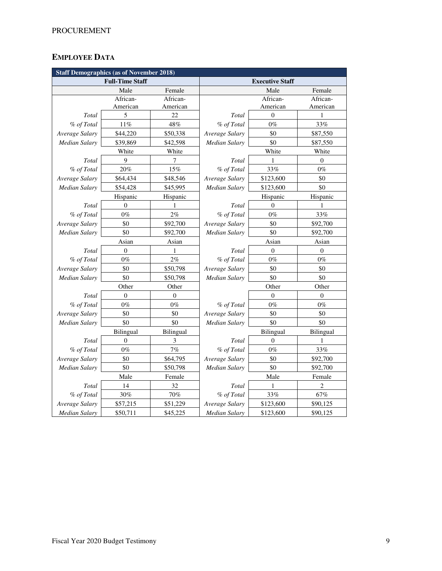## **EMPLOYEE DATA**

|                      | <b>Staff Demographics (as of November 2018)</b> |                |                        |           |                |  |
|----------------------|-------------------------------------------------|----------------|------------------------|-----------|----------------|--|
|                      | <b>Full-Time Staff</b>                          |                | <b>Executive Staff</b> |           |                |  |
|                      | Male                                            | Female         |                        | Male      | Female         |  |
|                      | African-                                        | African-       |                        | African-  | African-       |  |
|                      | American                                        | American       |                        | American  | American       |  |
| Total                | 5                                               | 22             | Total                  | $\theta$  | 1              |  |
| % of Total           | 11%                                             | 48%            | % of Total             | $0\%$     | 33%            |  |
| Average Salary       | \$44,220                                        | \$50,338       | Average Salary         | \$0       | \$87,550       |  |
| <b>Median Salary</b> | \$39,869                                        | \$42,598       | Median Salary          | \$0       | \$87,550       |  |
|                      | White                                           | White          |                        | White     | White          |  |
| Total                | 9                                               | 7              | Total                  | 1         | $\Omega$       |  |
| % of Total           | 20%                                             | 15%            | % of Total             | 33%       | $0\%$          |  |
| Average Salary       | \$64,434                                        | \$48,546       | Average Salary         | \$123,600 | \$0            |  |
| <b>Median Salary</b> | \$54,428                                        | \$45,995       | Median Salary          | \$123,600 | \$0            |  |
|                      | Hispanic                                        | Hispanic       |                        | Hispanic  | Hispanic       |  |
| Total                | $\Omega$                                        | 1              | Total                  | $\theta$  | 1              |  |
| % of Total           | $0\%$                                           | 2%             | % of Total             | $0\%$     | 33%            |  |
| Average Salary       | \$0                                             | \$92,700       | Average Salary         | \$0       | \$92,700       |  |
| <b>Median Salary</b> | \$0                                             | \$92,700       | Median Salary          | \$0       | \$92,700       |  |
|                      | Asian                                           | Asian          | Asian                  |           | Asian          |  |
| Total                | $\mathbf{0}$                                    | 1              | Total                  | $\theta$  | $\overline{0}$ |  |
| % of Total           | $0\%$                                           | 2%             | % of Total             | $0\%$     | $0\%$          |  |
| Average Salary       | \$0                                             | \$50,798       | Average Salary         | \$0       | \$0            |  |
| <b>Median Salary</b> | \$0                                             | \$50,798       | Median Salary          | \$0       | \$0            |  |
|                      | Other                                           | Other          |                        | Other     | Other          |  |
| Total                | $\overline{0}$                                  | $\overline{0}$ |                        | $\theta$  | $\overline{0}$ |  |
| % of Total           | $0\%$                                           | $0\%$          | % of Total             | $0\%$     | $0\%$          |  |
| Average Salary       | \$0                                             | \$0            | Average Salary         | \$0       | \$0            |  |
| Median Salary        | \$0                                             | \$0            | <b>Median Salary</b>   | \$0       | \$0            |  |
|                      | Bilingual                                       | Bilingual      |                        | Bilingual | Bilingual      |  |
| Total                | $\overline{0}$                                  | 3              | Total                  | $\theta$  | 1              |  |
| % of Total           | $0\%$                                           | 7%             | % of Total             | $0\%$     | 33%            |  |
| Average Salary       | \$0                                             | \$64,795       | Average Salary         | \$0       | \$92,700       |  |
| <b>Median Salary</b> | \$0                                             | \$50,798       | Median Salary          | \$0       | \$92,700       |  |
|                      | Male                                            | Female         |                        | Male      | Female         |  |
| Total                | 14                                              | 32             | Total                  | 1         | 2              |  |
| % of Total           | 30%                                             | 70%            | % of Total             | 33%       | 67%            |  |
| Average Salary       | \$57,215                                        | \$51,229       | Average Salary         | \$123,600 | \$90,125       |  |
| <b>Median Salary</b> | \$50,711                                        | \$45,225       | <b>Median Salary</b>   | \$123,600 | \$90,125       |  |